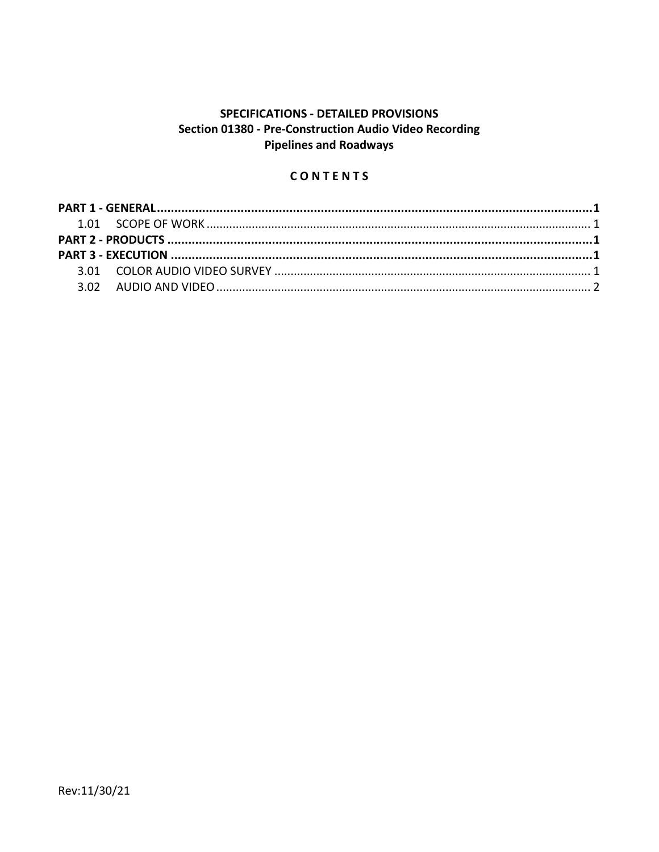# SPECIFICATIONS - DETAILED PROVISIONS Section 01380 - Pre-Construction Audio Video Recording **Pipelines and Roadways**

## CONTENTS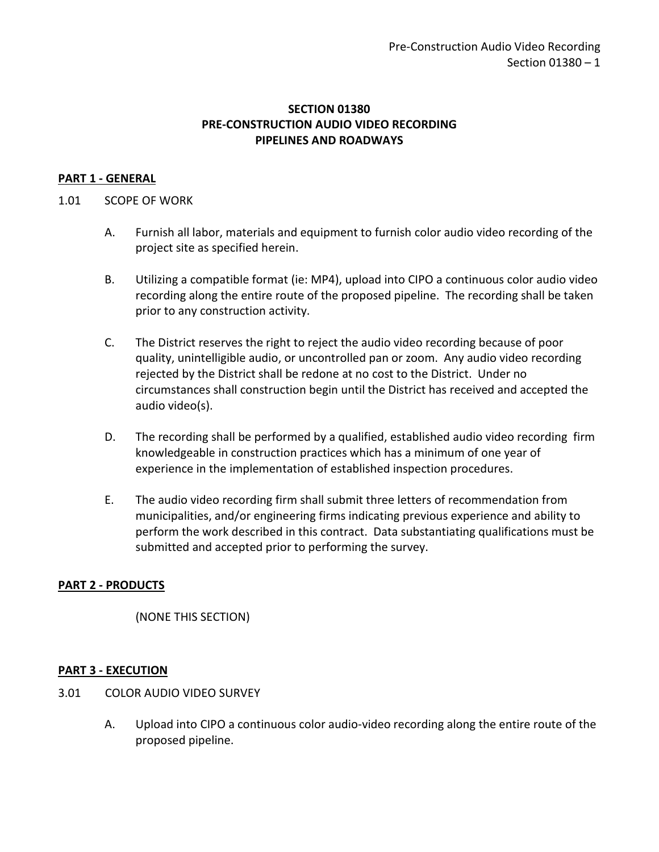## **SECTION 01380 PRE-CONSTRUCTION AUDIO VIDEO RECORDING PIPELINES AND ROADWAYS**

### <span id="page-2-0"></span>**PART 1 - GENERAL**

#### <span id="page-2-1"></span>1.01 SCOPE OF WORK

- A. Furnish all labor, materials and equipment to furnish color audio video recording of the project site as specified herein.
- B. Utilizing a compatible format (ie: MP4), upload into CIPO a continuous color audio video recording along the entire route of the proposed pipeline. The recording shall be taken prior to any construction activity.
- C. The District reserves the right to reject the audio video recording because of poor quality, unintelligible audio, or uncontrolled pan or zoom. Any audio video recording rejected by the District shall be redone at no cost to the District. Under no circumstances shall construction begin until the District has received and accepted the audio video(s).
- D. The recording shall be performed by a qualified, established audio video recording firm knowledgeable in construction practices which has a minimum of one year of experience in the implementation of established inspection procedures.
- E. The audio video recording firm shall submit three letters of recommendation from municipalities, and/or engineering firms indicating previous experience and ability to perform the work described in this contract. Data substantiating qualifications must be submitted and accepted prior to performing the survey.

#### <span id="page-2-2"></span>**PART 2 - PRODUCTS**

(NONE THIS SECTION)

#### <span id="page-2-3"></span>**PART 3 - EXECUTION**

- <span id="page-2-4"></span>3.01 COLOR AUDIO VIDEO SURVEY
	- A. Upload into CIPO a continuous color audio-video recording along the entire route of the proposed pipeline.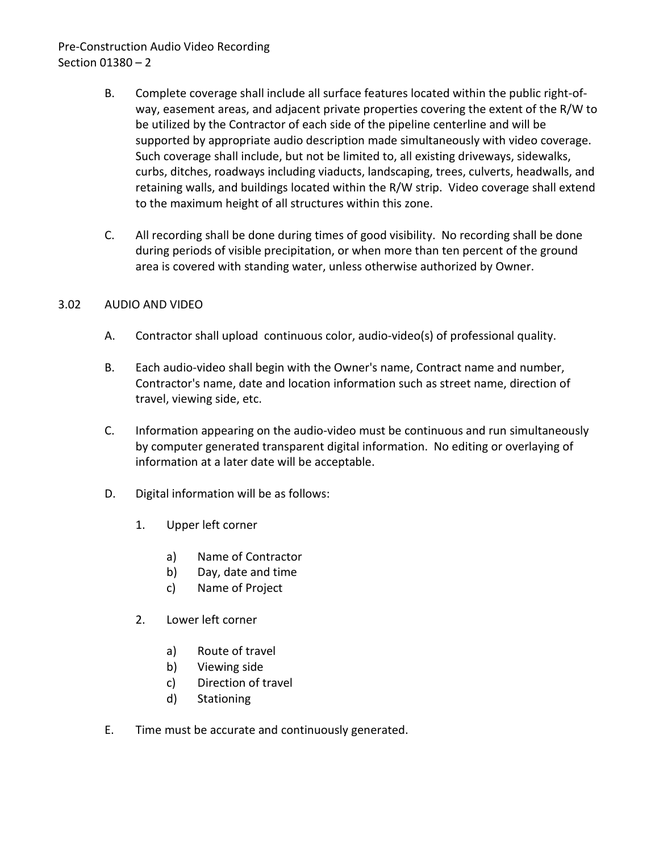# Pre-Construction Audio Video Recording Section 01380 – 2

- B. Complete coverage shall include all surface features located within the public right-ofway, easement areas, and adjacent private properties covering the extent of the R/W to be utilized by the Contractor of each side of the pipeline centerline and will be supported by appropriate audio description made simultaneously with video coverage. Such coverage shall include, but not be limited to, all existing driveways, sidewalks, curbs, ditches, roadways including viaducts, landscaping, trees, culverts, headwalls, and retaining walls, and buildings located within the R/W strip. Video coverage shall extend to the maximum height of all structures within this zone.
- C. All recording shall be done during times of good visibility. No recording shall be done during periods of visible precipitation, or when more than ten percent of the ground area is covered with standing water, unless otherwise authorized by Owner.

### <span id="page-3-0"></span>3.02 AUDIO AND VIDEO

- A. Contractor shall upload continuous color, audio-video(s) of professional quality.
- B. Each audio-video shall begin with the Owner's name, Contract name and number, Contractor's name, date and location information such as street name, direction of travel, viewing side, etc.
- C. Information appearing on the audio-video must be continuous and run simultaneously by computer generated transparent digital information. No editing or overlaying of information at a later date will be acceptable.
- D. Digital information will be as follows:
	- 1. Upper left corner
		- a) Name of Contractor
		- b) Day, date and time
		- c) Name of Project
	- 2. Lower left corner
		- a) Route of travel
		- b) Viewing side
		- c) Direction of travel
		- d) Stationing
- E. Time must be accurate and continuously generated.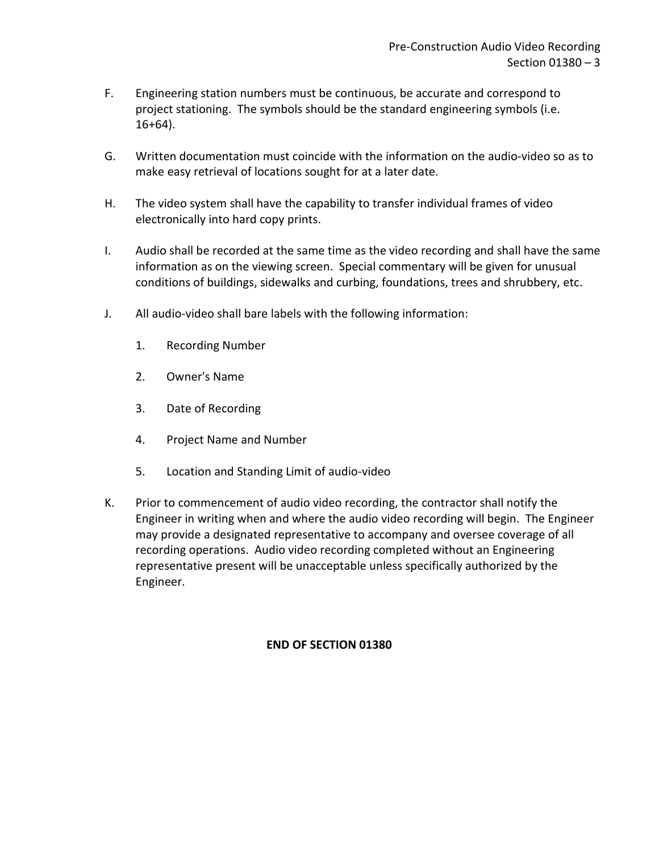- F. Engineering station numbers must be continuous, be accurate and correspond to project stationing. The symbols should be the standard engineering symbols (i.e.  $16+64$ ).
- G. Written documentation must coincide with the information on the audio-video so as to make easy retrieval of locations sought for at a later date.
- H. The video system shall have the capability to transfer individual frames of video electronically into hard copy prints.
- I. Audio shall be recorded at the same time as the video recording and shall have the same information as on the viewing screen. Special commentary will be given for unusual conditions of buildings, sidewalks and curbing, foundations, trees and shrubbery, etc.
- J. All audio-video shall bare labels with the following information:
	- 1. Recording Number
	- 2. Owner's Name
	- 3. Date of Recording
	- 4. Project Name and Number
	- 5. Location and Standing Limit of audio-video
- K. Prior to commencement of audio video recording, the contractor shall notify the Engineer in writing when and where the audio video recording will begin. The Engineer may provide a designated representative to accompany and oversee coverage of all recording operations. Audio video recording completed without an Engineering representative present will be unacceptable unless specifically authorized by the Engineer.

## **END OF SECTION 01380**